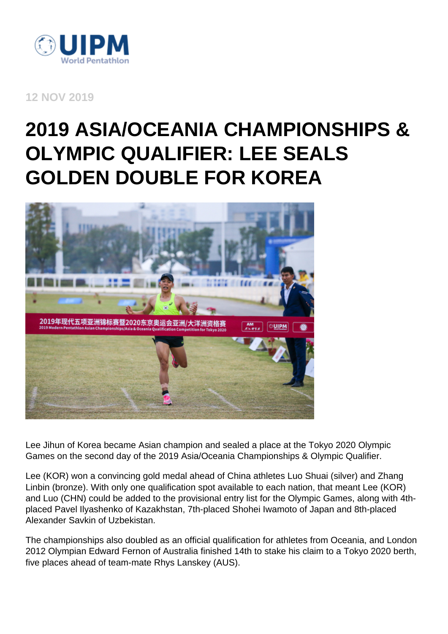

**12 NOV 2019**

## **2019 ASIA/OCEANIA CHAMPIONSHIPS & OLYMPIC QUALIFIER: LEE SEALS GOLDEN DOUBLE FOR KOREA**



Lee Jihun of Korea became Asian champion and sealed a place at the Tokyo 2020 Olympic Games on the second day of the 2019 Asia/Oceania Championships & Olympic Qualifier.

Lee (KOR) won a convincing gold medal ahead of China athletes Luo Shuai (silver) and Zhang Linbin (bronze). With only one qualification spot available to each nation, that meant Lee (KOR) and Luo (CHN) could be added to the provisional entry list for the Olympic Games, along with 4thplaced Pavel Ilyashenko of Kazakhstan, 7th-placed Shohei Iwamoto of Japan and 8th-placed Alexander Savkin of Uzbekistan.

The championships also doubled as an official qualification for athletes from Oceania, and London 2012 Olympian Edward Fernon of Australia finished 14th to stake his claim to a Tokyo 2020 berth, five places ahead of team-mate Rhys Lanskey (AUS).